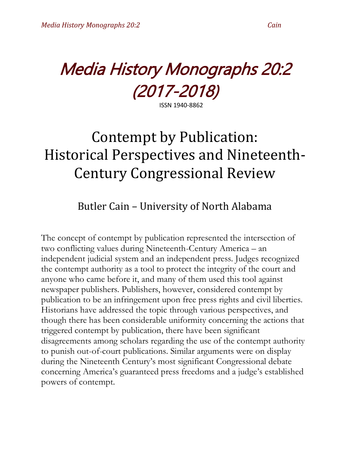# Media History Monographs 20:2 (2017-2018)

ISSN 1940-8862

## Contempt by Publication: Historical Perspectives and Nineteenth-Century Congressional Review

### Butler Cain – University of North Alabama

The concept of contempt by publication represented the intersection of two conflicting values during Nineteenth-Century America – an independent judicial system and an independent press. Judges recognized the contempt authority as a tool to protect the integrity of the court and anyone who came before it, and many of them used this tool against newspaper publishers. Publishers, however, considered contempt by publication to be an infringement upon free press rights and civil liberties. Historians have addressed the topic through various perspectives, and though there has been considerable uniformity concerning the actions that triggered contempt by publication, there have been significant disagreements among scholars regarding the use of the contempt authority to punish out-of-court publications. Similar arguments were on display during the Nineteenth Century's most significant Congressional debate concerning America's guaranteed press freedoms and a judge's established powers of contempt.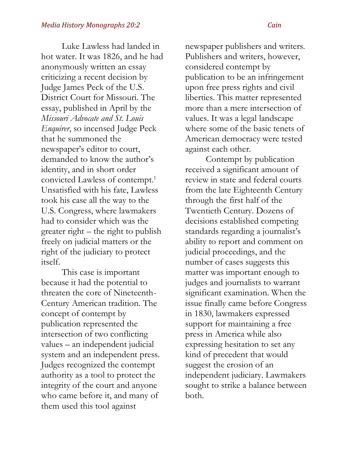Luke Lawless had landed in hot water. It was 1826, and he had anonymously written an essay criticizing a recent decision by Judge James Peck of the U.S. District Court for Missouri. The essay, published in April by the *Missouri Advocate and St. Louis Enquirer*, so incensed Judge Peck that he summoned the newspaper's editor to court, demanded to know the author's identity, and in short order convicted Lawless of contempt. 1 Unsatisfied with his fate, Lawless took his case all the way to the U.S. Congress, where lawmakers had to consider which was the greater right – the right to publish freely on judicial matters or the right of the judiciary to protect itself.

This case is important because it had the potential to threaten the core of Nineteenth-Century American tradition. The concept of contempt by publication represented the intersection of two conflicting values – an independent judicial system and an independent press. Judges recognized the contempt authority as a tool to protect the integrity of the court and anyone who came before it, and many of them used this tool against

newspaper publishers and writers. Publishers and writers, however, considered contempt by publication to be an infringement upon free press rights and civil liberties. This matter represented more than a mere intersection of values. It was a legal landscape where some of the basic tenets of American democracy were tested against each other.

Contempt by publication received a significant amount of review in state and federal courts from the late Eighteenth Century through the first half of the Twentieth Century. Dozens of decisions established competing standards regarding a journalist's ability to report and comment on judicial proceedings, and the number of cases suggests this matter was important enough to judges and journalists to warrant significant examination. When the issue finally came before Congress in 1830, lawmakers expressed support for maintaining a free press in America while also expressing hesitation to set any kind of precedent that would suggest the erosion of an independent judiciary. Lawmakers sought to strike a balance between both.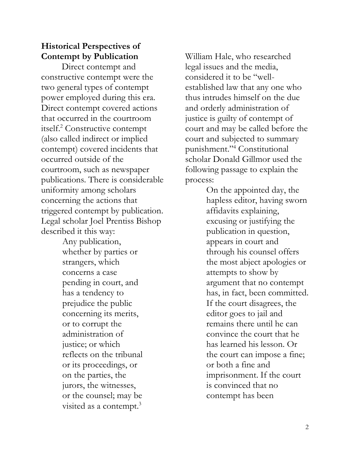### **Historical Perspectives of Contempt by Publication**

Direct contempt and constructive contempt were the two general types of contempt power employed during this era. Direct contempt covered actions that occurred in the courtroom itself.<sup>2</sup> Constructive contempt (also called indirect or implied contempt) covered incidents that occurred outside of the courtroom, such as newspaper publications. There is considerable uniformity among scholars concerning the actions that triggered contempt by publication. Legal scholar Joel Prentiss Bishop described it this way:

> Any publication, whether by parties or strangers, which concerns a case pending in court, and has a tendency to prejudice the public concerning its merits, or to corrupt the administration of justice; or which reflects on the tribunal or its proceedings, or on the parties, the jurors, the witnesses, or the counsel; may be visited as a contempt.<sup>3</sup>

William Hale, who researched legal issues and the media, considered it to be "wellestablished law that any one who thus intrudes himself on the due and orderly administration of justice is guilty of contempt of court and may be called before the court and subjected to summary punishment."<sup>4</sup> Constitutional scholar Donald Gillmor used the following passage to explain the process:

> On the appointed day, the hapless editor, having sworn affidavits explaining, excusing or justifying the publication in question, appears in court and through his counsel offers the most abject apologies or attempts to show by argument that no contempt has, in fact, been committed. If the court disagrees, the editor goes to jail and remains there until he can convince the court that he has learned his lesson. Or the court can impose a fine; or both a fine and imprisonment. If the court is convinced that no contempt has been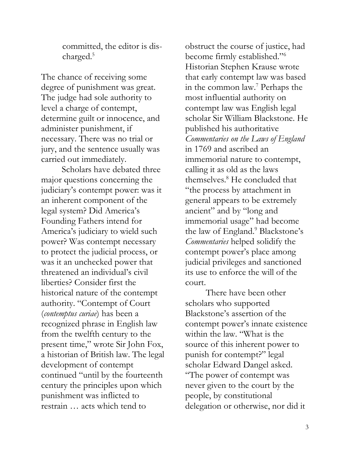committed, the editor is discharged.<sup>5</sup>

The chance of receiving some degree of punishment was great. The judge had sole authority to level a charge of contempt, determine guilt or innocence, and administer punishment, if necessary. There was no trial or jury, and the sentence usually was carried out immediately.

Scholars have debated three major questions concerning the judiciary's contempt power: was it an inherent component of the legal system? Did America's Founding Fathers intend for America's judiciary to wield such power? Was contempt necessary to protect the judicial process, or was it an unchecked power that threatened an individual's civil liberties? Consider first the historical nature of the contempt authority. "Contempt of Court (*contemptus curiae*) has been a recognized phrase in English law from the twelfth century to the present time," wrote Sir John Fox, a historian of British law. The legal development of contempt continued "until by the fourteenth century the principles upon which punishment was inflicted to restrain … acts which tend to

obstruct the course of justice, had become firmly established."<sup>6</sup> Historian Stephen Krause wrote that early contempt law was based in the common law.<sup>7</sup> Perhaps the most influential authority on contempt law was English legal scholar Sir William Blackstone. He published his authoritative *Commentaries on the Laws of England* in 1769 and ascribed an immemorial nature to contempt, calling it as old as the laws themselves.<sup>8</sup> He concluded that "the process by attachment in general appears to be extremely ancient" and by "long and immemorial usage" had become the law of England.<sup>9</sup> Blackstone's *Commentaries* helped solidify the contempt power's place among judicial privileges and sanctioned its use to enforce the will of the court.

There have been other scholars who supported Blackstone's assertion of the contempt power's innate existence within the law. "What is the source of this inherent power to punish for contempt?" legal scholar Edward Dangel asked. "The power of contempt was never given to the court by the people, by constitutional delegation or otherwise, nor did it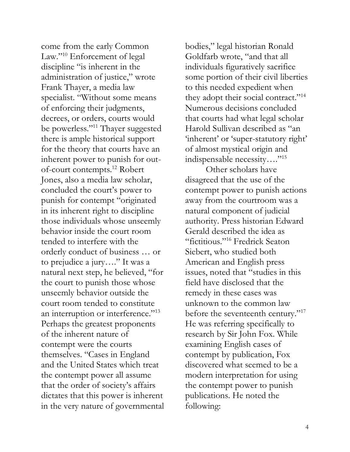come from the early Common Law."<sup>10</sup> Enforcement of legal discipline "is inherent in the administration of justice," wrote Frank Thayer, a media law specialist. "Without some means of enforcing their judgments, decrees, or orders, courts would be powerless."<sup>11</sup> Thayer suggested there is ample historical support for the theory that courts have an inherent power to punish for outof-court contempts.<sup>12</sup> Robert Jones, also a media law scholar, concluded the court's power to punish for contempt "originated in its inherent right to discipline those individuals whose unseemly behavior inside the court room tended to interfere with the orderly conduct of business … or to prejudice a jury…." It was a natural next step, he believed, "for the court to punish those whose unseemly behavior outside the court room tended to constitute an interruption or interference."<sup>13</sup> Perhaps the greatest proponents of the inherent nature of contempt were the courts themselves. "Cases in England and the United States which treat the contempt power all assume that the order of society's affairs dictates that this power is inherent in the very nature of governmental

bodies," legal historian Ronald Goldfarb wrote, "and that all individuals figuratively sacrifice some portion of their civil liberties to this needed expedient when they adopt their social contract."<sup>14</sup> Numerous decisions concluded that courts had what legal scholar Harold Sullivan described as "an 'inherent' or 'super-statutory right' of almost mystical origin and indispensable necessity…."<sup>15</sup>

Other scholars have disagreed that the use of the contempt power to punish actions away from the courtroom was a natural component of judicial authority. Press historian Edward Gerald described the idea as "fictitious."<sup>16</sup> Fredrick Seaton Siebert, who studied both American and English press issues, noted that "studies in this field have disclosed that the remedy in these cases was unknown to the common law before the seventeenth century."<sup>17</sup> He was referring specifically to research by Sir John Fox. While examining English cases of contempt by publication, Fox discovered what seemed to be a modern interpretation for using the contempt power to punish publications. He noted the following: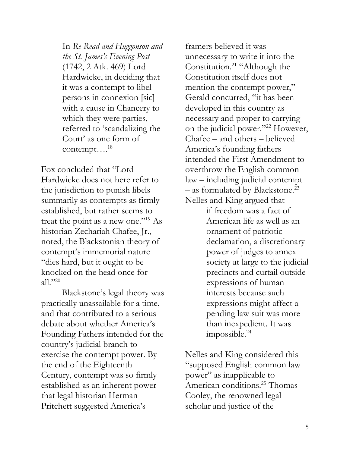In *Re Read and Huggonson and the St. James's Evening Post* (1742, 2 Atk. 469) Lord Hardwicke, in deciding that it was a contempt to libel persons in connexion [sic] with a cause in Chancery to which they were parties, referred to 'scandalizing the Court' as one form of contempt... $^{18}$ 

Fox concluded that "Lord Hardwicke does not here refer to the jurisdiction to punish libels summarily as contempts as firmly established, but rather seems to treat the point as a new one."<sup>19</sup> As historian Zechariah Chafee, Jr., noted, the Blackstonian theory of contempt's immemorial nature "dies hard, but it ought to be knocked on the head once for all."<sup>20</sup>

Blackstone's legal theory was practically unassailable for a time, and that contributed to a serious debate about whether America's Founding Fathers intended for the country's judicial branch to exercise the contempt power. By the end of the Eighteenth Century, contempt was so firmly established as an inherent power that legal historian Herman Pritchett suggested America's

framers believed it was unnecessary to write it into the Constitution.<sup>21</sup> "Although the Constitution itself does not mention the contempt power," Gerald concurred, "it has been developed in this country as necessary and proper to carrying on the judicial power."<sup>22</sup> However, Chafee – and others – believed America's founding fathers intended the First Amendment to overthrow the English common law – including judicial contempt  $-$  as formulated by Blackstone.<sup>23</sup> Nelles and King argued that

> if freedom was a fact of American life as well as an ornament of patriotic declamation, a discretionary power of judges to annex society at large to the judicial precincts and curtail outside expressions of human interests because such expressions might affect a pending law suit was more than inexpedient. It was impossible.<sup>24</sup>

Nelles and King considered this "supposed English common law power" as inapplicable to American conditions.<sup>25</sup> Thomas Cooley, the renowned legal scholar and justice of the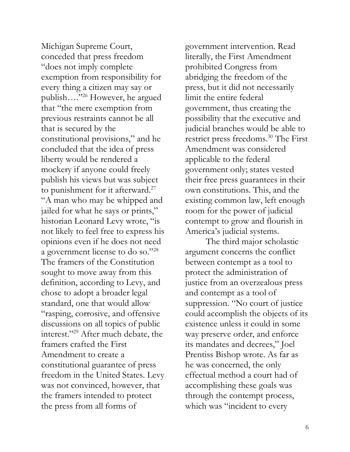Michigan Supreme Court, conceded that press freedom "does not imply complete exemption from responsibility for every thing a citizen may say or publish…."<sup>26</sup> However, he argued that "the mere exemption from previous restraints cannot be all that is secured by the constitutional provisions," and he concluded that the idea of press liberty would be rendered a mockery if anyone could freely publish his views but was subject to punishment for it afterward.<sup>27</sup> "A man who may be whipped and jailed for what he says or prints," historian Leonard Levy wrote, "is not likely to feel free to express his opinions even if he does not need a government license to do so."<sup>28</sup> The framers of the Constitution sought to move away from this definition, according to Levy, and chose to adopt a broader legal standard, one that would allow "rasping, corrosive, and offensive discussions on all topics of public interest."<sup>29</sup> After much debate, the framers crafted the First Amendment to create a constitutional guarantee of press freedom in the United States. Levy was not convinced, however, that the framers intended to protect the press from all forms of

government intervention. Read literally, the First Amendment prohibited Congress from abridging the freedom of the press, but it did not necessarily limit the entire federal government, thus creating the possibility that the executive and judicial branches would be able to restrict press freedoms.<sup>30</sup> The First Amendment was considered applicable to the federal government only; states vested their free press guarantees in their own constitutions. This, and the existing common law, left enough room for the power of judicial contempt to grow and flourish in America's judicial systems.

The third major scholastic argument concerns the conflict between contempt as a tool to protect the administration of justice from an overzealous press and contempt as a tool of suppression. "No court of justice could accomplish the objects of its existence unless it could in some way preserve order, and enforce its mandates and decrees," Joel Prentiss Bishop wrote. As far as he was concerned, the only effectual method a court had of accomplishing these goals was through the contempt process, which was "incident to every"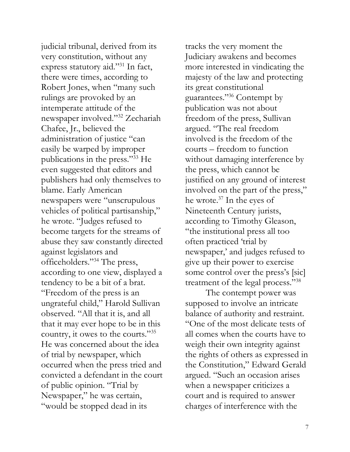judicial tribunal, derived from its very constitution, without any express statutory aid."<sup>31</sup> In fact, there were times, according to Robert Jones, when "many such rulings are provoked by an intemperate attitude of the newspaper involved."<sup>32</sup> Zechariah Chafee, Jr., believed the administration of justice "can easily be warped by improper publications in the press."<sup>33</sup> He even suggested that editors and publishers had only themselves to blame. Early American newspapers were "unscrupulous vehicles of political partisanship," he wrote. "Judges refused to become targets for the streams of abuse they saw constantly directed against legislators and officeholders."<sup>34</sup> The press, according to one view, displayed a tendency to be a bit of a brat. "Freedom of the press is an ungrateful child," Harold Sullivan observed. "All that it is, and all that it may ever hope to be in this country, it owes to the courts."<sup>35</sup> He was concerned about the idea of trial by newspaper, which occurred when the press tried and convicted a defendant in the court of public opinion. "Trial by Newspaper," he was certain, "would be stopped dead in its

tracks the very moment the Judiciary awakens and becomes more interested in vindicating the majesty of the law and protecting its great constitutional guarantees."<sup>36</sup> Contempt by publication was not about freedom of the press, Sullivan argued. "The real freedom involved is the freedom of the courts – freedom to function without damaging interference by the press, which cannot be justified on any ground of interest involved on the part of the press," he wrote. $37$  In the eyes of Nineteenth Century jurists, according to Timothy Gleason, "the institutional press all too often practiced 'trial by newspaper,' and judges refused to give up their power to exercise some control over the press's [sic] treatment of the legal process."<sup>38</sup>

The contempt power was supposed to involve an intricate balance of authority and restraint. "One of the most delicate tests of all comes when the courts have to weigh their own integrity against the rights of others as expressed in the Constitution," Edward Gerald argued. "Such an occasion arises when a newspaper criticizes a court and is required to answer charges of interference with the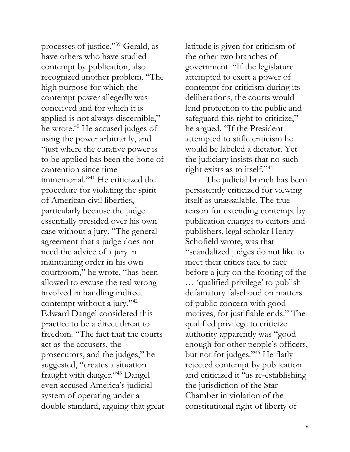processes of justice."<sup>39</sup> Gerald, as have others who have studied contempt by publication, also recognized another problem. "The high purpose for which the contempt power allegedly was conceived and for which it is applied is not always discernible," he wrote.<sup>40</sup> He accused judges of using the power arbitrarily, and "just where the curative power is to be applied has been the bone of contention since time immemorial."<sup>41</sup> He criticized the procedure for violating the spirit of American civil liberties, particularly because the judge essentially presided over his own case without a jury. "The general agreement that a judge does not need the advice of a jury in maintaining order in his own courtroom," he wrote, "has been allowed to excuse the real wrong involved in handling indirect contempt without a jury."<sup>42</sup> Edward Dangel considered this practice to be a direct threat to freedom. "The fact that the courts act as the accusers, the prosecutors, and the judges," he suggested, "creates a situation fraught with danger."<sup>43</sup> Dangel even accused America's judicial system of operating under a double standard, arguing that great

latitude is given for criticism of the other two branches of government. "If the legislature attempted to exert a power of contempt for criticism during its deliberations, the courts would lend protection to the public and safeguard this right to criticize," he argued. "If the President attempted to stifle criticism he would be labeled a dictator. Yet the judiciary insists that no such right exists as to itself."<sup>44</sup>

The judicial branch has been persistently criticized for viewing itself as unassailable. The true reason for extending contempt by publication charges to editors and publishers, legal scholar Henry Schofield wrote, was that "scandalized judges do not like to meet their critics face to face before a jury on the footing of the … 'qualified privilege' to publish defamatory falsehood on matters of public concern with good motives, for justifiable ends." The qualified privilege to criticize authority apparently was "good enough for other people's officers, but not for judges."<sup>45</sup> He flatly rejected contempt by publication and criticized it "as re-establishing the jurisdiction of the Star Chamber in violation of the constitutional right of liberty of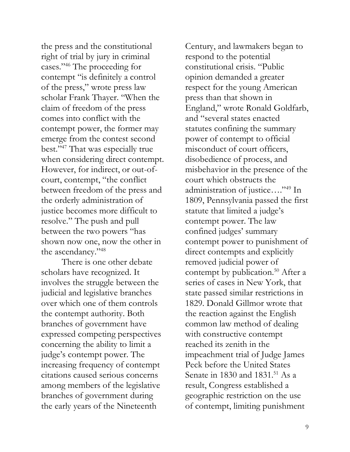the press and the constitutional right of trial by jury in criminal cases."<sup>46</sup> The proceeding for contempt "is definitely a control of the press," wrote press law scholar Frank Thayer. "When the claim of freedom of the press comes into conflict with the contempt power, the former may emerge from the contest second best."<sup>47</sup> That was especially true when considering direct contempt. However, for indirect, or out-ofcourt, contempt, "the conflict between freedom of the press and the orderly administration of justice becomes more difficult to resolve." The push and pull between the two powers "has shown now one, now the other in the ascendancy."<sup>48</sup>

There is one other debate scholars have recognized. It involves the struggle between the judicial and legislative branches over which one of them controls the contempt authority. Both branches of government have expressed competing perspectives concerning the ability to limit a judge's contempt power. The increasing frequency of contempt citations caused serious concerns among members of the legislative branches of government during the early years of the Nineteenth

Century, and lawmakers began to respond to the potential constitutional crisis. "Public opinion demanded a greater respect for the young American press than that shown in England," wrote Ronald Goldfarb, and "several states enacted statutes confining the summary power of contempt to official misconduct of court officers, disobedience of process, and misbehavior in the presence of the court which obstructs the administration of justice…."<sup>49</sup> In 1809, Pennsylvania passed the first statute that limited a judge's contempt power. The law confined judges' summary contempt power to punishment of direct contempts and explicitly removed judicial power of contempt by publication.<sup>50</sup> After a series of cases in New York, that state passed similar restrictions in 1829. Donald Gillmor wrote that the reaction against the English common law method of dealing with constructive contempt reached its zenith in the impeachment trial of Judge James Peck before the United States Senate in 1830 and 1831.<sup>51</sup> As a result, Congress established a geographic restriction on the use of contempt, limiting punishment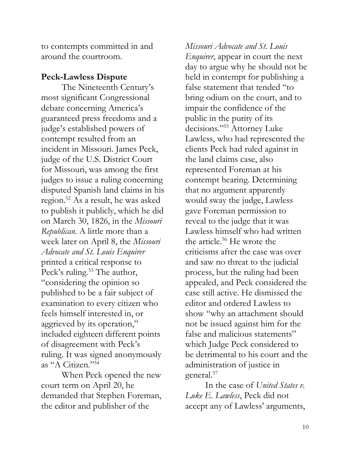to contempts committed in and around the courtroom.

#### **Peck-Lawless Dispute**

The Nineteenth Century's most significant Congressional debate concerning America's guaranteed press freedoms and a judge's established powers of contempt resulted from an incident in Missouri. James Peck, judge of the U.S. District Court for Missouri, was among the first judges to issue a ruling concerning disputed Spanish land claims in his region.<sup>52</sup> As a result, he was asked to publish it publicly, which he did on March 30, 1826, in the *Missouri Republican*. A little more than a week later on April 8, the *Missouri Advocate and St. Louis Enquirer* printed a critical response to Peck's ruling.<sup>53</sup> The author, "considering the opinion so published to be a fair subject of examination to every citizen who feels himself interested in, or aggrieved by its operation," included eighteen different points of disagreement with Peck's ruling. It was signed anonymously as "A Citizen."<sup>54</sup>

When Peck opened the new court term on April 20, he demanded that Stephen Foreman, the editor and publisher of the

*Missouri Advocate and St. Louis Enquirer*, appear in court the next day to argue why he should not be held in contempt for publishing a false statement that tended "to bring odium on the court, and to impair the confidence of the public in the purity of its decisions."<sup>55</sup> Attorney Luke Lawless, who had represented the clients Peck had ruled against in the land claims case, also represented Foreman at his contempt hearing. Determining that no argument apparently would sway the judge, Lawless gave Foreman permission to reveal to the judge that it was Lawless himself who had written the article.<sup>56</sup> He wrote the criticisms after the case was over and saw no threat to the judicial process, but the ruling had been appealed, and Peck considered the case still active. He dismissed the editor and ordered Lawless to show "why an attachment should not be issued against him for the false and malicious statements" which Judge Peck considered to be detrimental to his court and the administration of justice in general.<sup>57</sup>

In the case of *United States v. Luke E. Lawless*, Peck did not accept any of Lawless' arguments,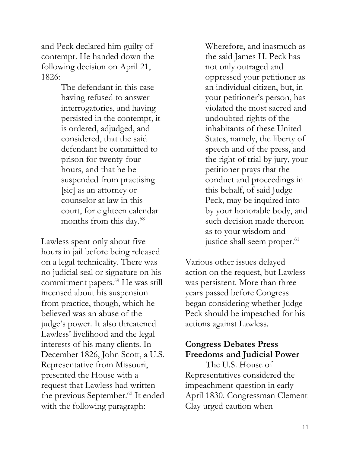and Peck declared him guilty of contempt. He handed down the following decision on April 21, 1826:

> The defendant in this case having refused to answer interrogatories, and having persisted in the contempt, it is ordered, adjudged, and considered, that the said defendant be committed to prison for twenty-four hours, and that he be suspended from practising [sic] as an attorney or counselor at law in this court, for eighteen calendar months from this day.<sup>58</sup>

Lawless spent only about five hours in jail before being released on a legal technicality. There was no judicial seal or signature on his commitment papers.<sup>59</sup> He was still incensed about his suspension from practice, though, which he believed was an abuse of the judge's power. It also threatened Lawless' livelihood and the legal interests of his many clients. In December 1826, John Scott, a U.S. Representative from Missouri, presented the House with a request that Lawless had written the previous September.<sup>60</sup> It ended with the following paragraph:

Wherefore, and inasmuch as the said James H. Peck has not only outraged and oppressed your petitioner as an individual citizen, but, in your petitioner's person, has violated the most sacred and undoubted rights of the inhabitants of these United States, namely, the liberty of speech and of the press, and the right of trial by jury, your petitioner prays that the conduct and proceedings in this behalf, of said Judge Peck, may be inquired into by your honorable body, and such decision made thereon as to your wisdom and justice shall seem proper.<sup>61</sup>

Various other issues delayed action on the request, but Lawless was persistent. More than three years passed before Congress began considering whether Judge Peck should be impeached for his actions against Lawless.

#### **Congress Debates Press Freedoms and Judicial Power**

The U.S. House of Representatives considered the impeachment question in early April 1830. Congressman Clement Clay urged caution when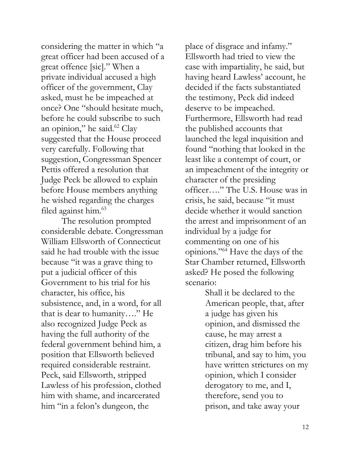considering the matter in which "a great officer had been accused of a great offence [sic]." When a private individual accused a high officer of the government, Clay asked, must he be impeached at once? One "should hesitate much, before he could subscribe to such an opinion," he said.<sup>62</sup> Clay suggested that the House proceed very carefully. Following that suggestion, Congressman Spencer Pettis offered a resolution that Judge Peck be allowed to explain before House members anything he wished regarding the charges filed against him.<sup>63</sup>

The resolution prompted considerable debate. Congressman William Ellsworth of Connecticut said he had trouble with the issue because "it was a grave thing to put a judicial officer of this Government to his trial for his character, his office, his subsistence, and, in a word, for all that is dear to humanity…." He also recognized Judge Peck as having the full authority of the federal government behind him, a position that Ellsworth believed required considerable restraint. Peck, said Ellsworth, stripped Lawless of his profession, clothed him with shame, and incarcerated him "in a felon's dungeon, the

place of disgrace and infamy." Ellsworth had tried to view the case with impartiality, he said, but having heard Lawless' account, he decided if the facts substantiated the testimony, Peck did indeed deserve to be impeached. Furthermore, Ellsworth had read the published accounts that launched the legal inquisition and found "nothing that looked in the least like a contempt of court, or an impeachment of the integrity or character of the presiding officer…." The U.S. House was in crisis, he said, because "it must decide whether it would sanction the arrest and imprisonment of an individual by a judge for commenting on one of his opinions."<sup>64</sup> Have the days of the Star Chamber returned, Ellsworth asked? He posed the following scenario:

> Shall it be declared to the American people, that, after a judge has given his opinion, and dismissed the cause, he may arrest a citizen, drag him before his tribunal, and say to him, you have written strictures on my opinion, which I consider derogatory to me, and I, therefore, send you to prison, and take away your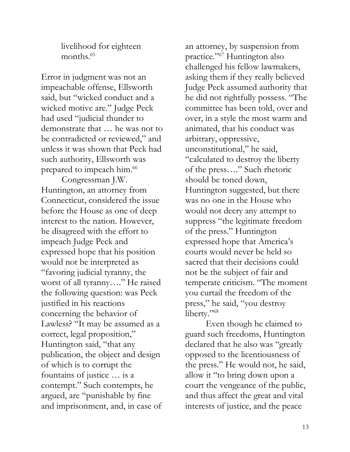livelihood for eighteen months.<sup>65</sup>

Error in judgment was not an impeachable offense, Ellsworth said, but "wicked conduct and a wicked motive are." Judge Peck had used "judicial thunder to demonstrate that … he was not to be contradicted or reviewed," and unless it was shown that Peck had such authority, Ellsworth was prepared to impeach him.<sup>66</sup>

Congressman J.W. Huntington, an attorney from Connecticut, considered the issue before the House as one of deep interest to the nation. However, he disagreed with the effort to impeach Judge Peck and expressed hope that his position would not be interpreted as "favoring judicial tyranny, the worst of all tyranny…." He raised the following question: was Peck justified in his reactions concerning the behavior of Lawless? "It may be assumed as a correct, legal proposition," Huntington said, "that any publication, the object and design of which is to corrupt the fountains of justice … is a contempt." Such contempts, he argued, are "punishable by fine and imprisonment, and, in case of

an attorney, by suspension from practice."<sup>67</sup> Huntington also challenged his fellow lawmakers, asking them if they really believed Judge Peck assumed authority that he did not rightfully possess. "The committee has been told, over and over, in a style the most warm and animated, that his conduct was arbitrary, oppressive, unconstitutional," he said, "calculated to destroy the liberty of the press…." Such rhetoric should be toned down, Huntington suggested, but there was no one in the House who would not decry any attempt to suppress "the legitimate freedom of the press." Huntington expressed hope that America's courts would never be held so sacred that their decisions could not be the subject of fair and temperate criticism. "The moment you curtail the freedom of the press," he said, "you destroy liberty."<sup>68</sup>

Even though he claimed to guard such freedoms, Huntington declared that he also was "greatly opposed to the licentiousness of the press." He would not, he said, allow it "to bring down upon a court the vengeance of the public, and thus affect the great and vital interests of justice, and the peace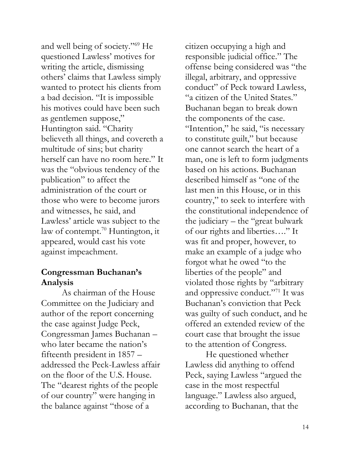and well being of society."<sup>69</sup> He questioned Lawless' motives for writing the article, dismissing others' claims that Lawless simply wanted to protect his clients from a bad decision. "It is impossible his motives could have been such as gentlemen suppose," Huntington said. "Charity believeth all things, and covereth a multitude of sins; but charity herself can have no room here." It was the "obvious tendency of the publication" to affect the administration of the court or those who were to become jurors and witnesses, he said, and Lawless' article was subject to the law of contempt.<sup>70</sup> Huntington, it appeared, would cast his vote against impeachment.

#### **Congressman Buchanan's Analysis**

As chairman of the House Committee on the Judiciary and author of the report concerning the case against Judge Peck, Congressman James Buchanan – who later became the nation's fifteenth president in 1857 – addressed the Peck-Lawless affair on the floor of the U.S. House. The "dearest rights of the people of our country" were hanging in the balance against "those of a

citizen occupying a high and responsible judicial office." The offense being considered was "the illegal, arbitrary, and oppressive conduct" of Peck toward Lawless, "a citizen of the United States." Buchanan began to break down the components of the case. "Intention," he said, "is necessary to constitute guilt," but because one cannot search the heart of a man, one is left to form judgments based on his actions. Buchanan described himself as "one of the last men in this House, or in this country," to seek to interfere with the constitutional independence of the judiciary – the "great bulwark of our rights and liberties…." It was fit and proper, however, to make an example of a judge who forgot what he owed "to the liberties of the people" and violated those rights by "arbitrary and oppressive conduct."<sup>71</sup> It was Buchanan's conviction that Peck was guilty of such conduct, and he offered an extended review of the court case that brought the issue to the attention of Congress.

He questioned whether Lawless did anything to offend Peck, saying Lawless "argued the case in the most respectful language." Lawless also argued, according to Buchanan, that the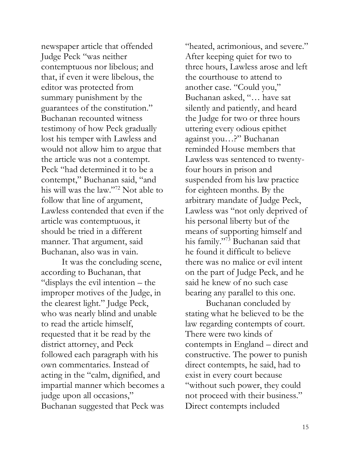newspaper article that offended Judge Peck "was neither contemptuous nor libelous; and that, if even it were libelous, the editor was protected from summary punishment by the guarantees of the constitution." Buchanan recounted witness testimony of how Peck gradually lost his temper with Lawless and would not allow him to argue that the article was not a contempt. Peck "had determined it to be a contempt," Buchanan said, "and his will was the law."<sup>72</sup> Not able to follow that line of argument, Lawless contended that even if the article was contemptuous, it should be tried in a different manner. That argument, said Buchanan, also was in vain.

It was the concluding scene, according to Buchanan, that "displays the evil intention – the improper motives of the Judge, in the clearest light." Judge Peck, who was nearly blind and unable to read the article himself, requested that it be read by the district attorney, and Peck followed each paragraph with his own commentaries. Instead of acting in the "calm, dignified, and impartial manner which becomes a judge upon all occasions," Buchanan suggested that Peck was

"heated, acrimonious, and severe." After keeping quiet for two to three hours, Lawless arose and left the courthouse to attend to another case. "Could you," Buchanan asked, "… have sat silently and patiently, and heard the Judge for two or three hours uttering every odious epithet against you…?" Buchanan reminded House members that Lawless was sentenced to twentyfour hours in prison and suspended from his law practice for eighteen months. By the arbitrary mandate of Judge Peck, Lawless was "not only deprived of his personal liberty but of the means of supporting himself and his family."<sup>73</sup> Buchanan said that he found it difficult to believe there was no malice or evil intent on the part of Judge Peck, and he said he knew of no such case bearing any parallel to this one.

Buchanan concluded by stating what he believed to be the law regarding contempts of court. There were two kinds of contempts in England – direct and constructive. The power to punish direct contempts, he said, had to exist in every court because "without such power, they could not proceed with their business." Direct contempts included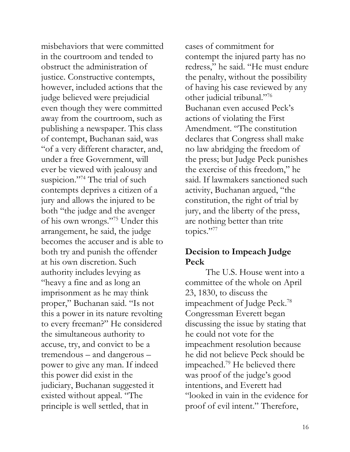misbehaviors that were committed in the courtroom and tended to obstruct the administration of justice. Constructive contempts, however, included actions that the judge believed were prejudicial even though they were committed away from the courtroom, such as publishing a newspaper. This class of contempt, Buchanan said, was "of a very different character, and, under a free Government, will ever be viewed with jealousy and suspicion."<sup>74</sup> The trial of such contempts deprives a citizen of a jury and allows the injured to be both "the judge and the avenger of his own wrongs."<sup>75</sup> Under this arrangement, he said, the judge becomes the accuser and is able to both try and punish the offender at his own discretion. Such authority includes levying as "heavy a fine and as long an imprisonment as he may think proper," Buchanan said. "Is not this a power in its nature revolting to every freeman?" He considered the simultaneous authority to accuse, try, and convict to be a tremendous – and dangerous – power to give any man. If indeed this power did exist in the judiciary, Buchanan suggested it existed without appeal. "The principle is well settled, that in

cases of commitment for contempt the injured party has no redress," he said. "He must endure the penalty, without the possibility of having his case reviewed by any other judicial tribunal."<sup>76</sup> Buchanan even accused Peck's actions of violating the First Amendment. "The constitution declares that Congress shall make no law abridging the freedom of the press; but Judge Peck punishes the exercise of this freedom," he said. If lawmakers sanctioned such activity, Buchanan argued, "the constitution, the right of trial by jury, and the liberty of the press, are nothing better than trite topics."77

#### **Decision to Impeach Judge Peck**

The U.S. House went into a committee of the whole on April 23, 1830, to discuss the impeachment of Judge Peck.<sup>78</sup> Congressman Everett began discussing the issue by stating that he could not vote for the impeachment resolution because he did not believe Peck should be impeached.<sup>79</sup> He believed there was proof of the judge's good intentions, and Everett had "looked in vain in the evidence for proof of evil intent." Therefore,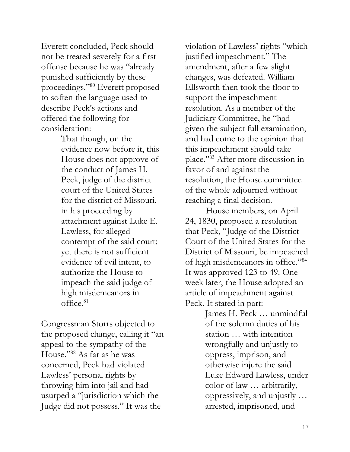Everett concluded, Peck should not be treated severely for a first offense because he was "already punished sufficiently by these proceedings."<sup>80</sup> Everett proposed to soften the language used to describe Peck's actions and offered the following for consideration:

> That though, on the evidence now before it, this House does not approve of the conduct of James H. Peck, judge of the district court of the United States for the district of Missouri, in his proceeding by attachment against Luke E. Lawless, for alleged contempt of the said court; yet there is not sufficient evidence of evil intent, to authorize the House to impeach the said judge of high misdemeanors in office.<sup>81</sup>

Congressman Storrs objected to the proposed change, calling it "an appeal to the sympathy of the House."<sup>82</sup> As far as he was concerned, Peck had violated Lawless' personal rights by throwing him into jail and had usurped a "jurisdiction which the Judge did not possess." It was the

violation of Lawless' rights "which justified impeachment." The amendment, after a few slight changes, was defeated. William Ellsworth then took the floor to support the impeachment resolution. As a member of the Judiciary Committee, he "had given the subject full examination, and had come to the opinion that this impeachment should take place."<sup>83</sup> After more discussion in favor of and against the resolution, the House committee of the whole adjourned without reaching a final decision.

House members, on April 24, 1830, proposed a resolution that Peck, "Judge of the District Court of the United States for the District of Missouri, be impeached of high misdemeanors in office."<sup>84</sup> It was approved 123 to 49. One week later, the House adopted an article of impeachment against Peck. It stated in part:

> James H. Peck … unmindful of the solemn duties of his station … with intention wrongfully and unjustly to oppress, imprison, and otherwise injure the said Luke Edward Lawless, under color of law … arbitrarily, oppressively, and unjustly … arrested, imprisoned, and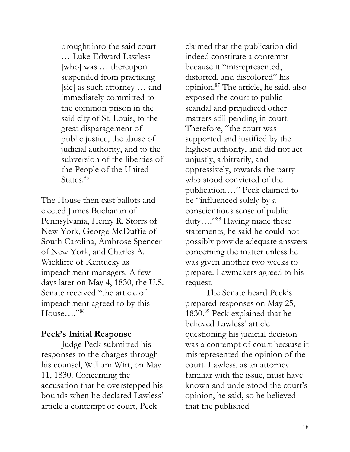brought into the said court … Luke Edward Lawless [who] was … thereupon suspended from practising [sic] as such attorney … and immediately committed to the common prison in the said city of St. Louis, to the great disparagement of public justice, the abuse of judicial authority, and to the subversion of the liberties of the People of the United States.<sup>85</sup>

The House then cast ballots and elected James Buchanan of Pennsylvania, Henry R. Storrs of New York, George McDuffie of South Carolina, Ambrose Spencer of New York, and Charles A. Wickliffe of Kentucky as impeachment managers. A few days later on May 4, 1830, the U.S. Senate received "the article of impeachment agreed to by this House...." $^{386}$ 

#### **Peck's Initial Response**

Judge Peck submitted his responses to the charges through his counsel, William Wirt, on May 11, 1830. Concerning the accusation that he overstepped his bounds when he declared Lawless' article a contempt of court, Peck

claimed that the publication did indeed constitute a contempt because it "misrepresented, distorted, and discolored" his opinion.<sup>87</sup> The article, he said, also exposed the court to public scandal and prejudiced other matters still pending in court. Therefore, "the court was supported and justified by the highest authority, and did not act unjustly, arbitrarily, and oppressively, towards the party who stood convicted of the publication.…" Peck claimed to be "influenced solely by a conscientious sense of public duty...."<sup>88</sup> Having made these statements, he said he could not possibly provide adequate answers concerning the matter unless he was given another two weeks to prepare. Lawmakers agreed to his request.

The Senate heard Peck's prepared responses on May 25, 1830.<sup>89</sup> Peck explained that he believed Lawless' article questioning his judicial decision was a contempt of court because it misrepresented the opinion of the court. Lawless, as an attorney familiar with the issue, must have known and understood the court's opinion, he said, so he believed that the published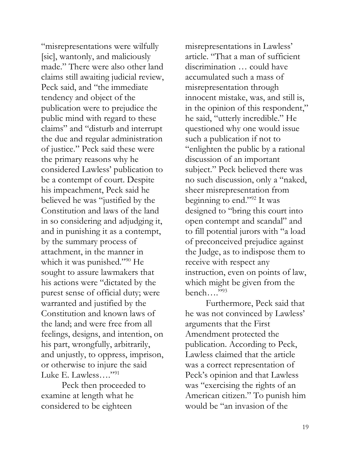"misrepresentations were wilfully [sic], wantonly, and maliciously made." There were also other land claims still awaiting judicial review, Peck said, and "the immediate tendency and object of the publication were to prejudice the public mind with regard to these claims" and "disturb and interrupt the due and regular administration of justice." Peck said these were the primary reasons why he considered Lawless' publication to be a contempt of court. Despite his impeachment, Peck said he believed he was "justified by the Constitution and laws of the land in so considering and adjudging it, and in punishing it as a contempt, by the summary process of attachment, in the manner in which it was punished."<sup>90</sup> He sought to assure lawmakers that his actions were "dictated by the purest sense of official duty; were warranted and justified by the Constitution and known laws of the land; and were free from all feelings, designs, and intention, on his part, wrongfully, arbitrarily, and unjustly, to oppress, imprison, or otherwise to injure the said Luke E. Lawless…."<sup>91</sup>

Peck then proceeded to examine at length what he considered to be eighteen

misrepresentations in Lawless' article. "That a man of sufficient discrimination … could have accumulated such a mass of misrepresentation through innocent mistake, was, and still is, in the opinion of this respondent," he said, "utterly incredible." He questioned why one would issue such a publication if not to "enlighten the public by a rational discussion of an important subject." Peck believed there was no such discussion, only a "naked, sheer misrepresentation from beginning to end."<sup>92</sup> It was designed to "bring this court into open contempt and scandal" and to fill potential jurors with "a load of preconceived prejudice against the Judge, as to indispose them to receive with respect any instruction, even on points of law, which might be given from the bench…." $^{93}$ 

Furthermore, Peck said that he was not convinced by Lawless' arguments that the First Amendment protected the publication. According to Peck, Lawless claimed that the article was a correct representation of Peck's opinion and that Lawless was "exercising the rights of an American citizen." To punish him would be "an invasion of the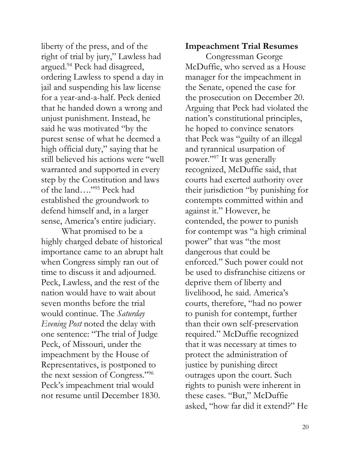liberty of the press, and of the right of trial by jury," Lawless had argued.<sup>94</sup> Peck had disagreed, ordering Lawless to spend a day in jail and suspending his law license for a year-and-a-half. Peck denied that he handed down a wrong and unjust punishment. Instead, he said he was motivated "by the purest sense of what he deemed a high official duty," saying that he still believed his actions were "well warranted and supported in every step by the Constitution and laws of the land…."<sup>95</sup> Peck had established the groundwork to defend himself and, in a larger sense, America's entire judiciary.

What promised to be a highly charged debate of historical importance came to an abrupt halt when Congress simply ran out of time to discuss it and adjourned. Peck, Lawless, and the rest of the nation would have to wait about seven months before the trial would continue. The *Saturday Evening Post* noted the delay with one sentence: "The trial of Judge Peck, of Missouri, under the impeachment by the House of Representatives, is postponed to the next session of Congress."<sup>96</sup> Peck's impeachment trial would not resume until December 1830.

#### **Impeachment Trial Resumes**

Congressman George McDuffie, who served as a House manager for the impeachment in the Senate, opened the case for the prosecution on December 20. Arguing that Peck had violated the nation's constitutional principles, he hoped to convince senators that Peck was "guilty of an illegal and tyrannical usurpation of power."<sup>97</sup> It was generally recognized, McDuffie said, that courts had exerted authority over their jurisdiction "by punishing for contempts committed within and against it." However, he contended, the power to punish for contempt was "a high criminal power" that was "the most dangerous that could be enforced." Such power could not be used to disfranchise citizens or deprive them of liberty and livelihood, he said. America's courts, therefore, "had no power to punish for contempt, further than their own self-preservation required." McDuffie recognized that it was necessary at times to protect the administration of justice by punishing direct outrages upon the court. Such rights to punish were inherent in these cases. "But," McDuffie asked, "how far did it extend?" He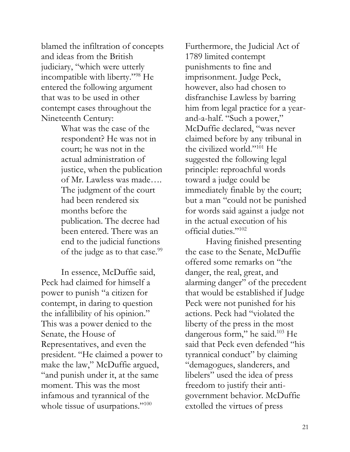blamed the infiltration of concepts and ideas from the British judiciary, "which were utterly incompatible with liberty."<sup>98</sup> He entered the following argument that was to be used in other contempt cases throughout the Nineteenth Century:

> What was the case of the respondent? He was not in court; he was not in the actual administration of justice, when the publication of Mr. Lawless was made…. The judgment of the court had been rendered six months before the publication. The decree had been entered. There was an end to the judicial functions of the judge as to that case.<sup>99</sup>

In essence, McDuffie said, Peck had claimed for himself a power to punish "a citizen for contempt, in daring to question the infallibility of his opinion." This was a power denied to the Senate, the House of Representatives, and even the president. "He claimed a power to make the law," McDuffie argued, "and punish under it, at the same moment. This was the most infamous and tyrannical of the whole tissue of usurpations."<sup>100</sup>

Furthermore, the Judicial Act of 1789 limited contempt punishments to fine and imprisonment. Judge Peck, however, also had chosen to disfranchise Lawless by barring him from legal practice for a yearand-a-half. "Such a power," McDuffie declared, "was never claimed before by any tribunal in the civilized world."<sup>101</sup> He suggested the following legal principle: reproachful words toward a judge could be immediately finable by the court; but a man "could not be punished for words said against a judge not in the actual execution of his official duties."<sup>102</sup>

Having finished presenting the case to the Senate, McDuffie offered some remarks on "the danger, the real, great, and alarming danger" of the precedent that would be established if Judge Peck were not punished for his actions. Peck had "violated the liberty of the press in the most dangerous form," he said.<sup>103</sup> He said that Peck even defended "his tyrannical conduct" by claiming "demagogues, slanderers, and libelers" used the idea of press freedom to justify their antigovernment behavior. McDuffie extolled the virtues of press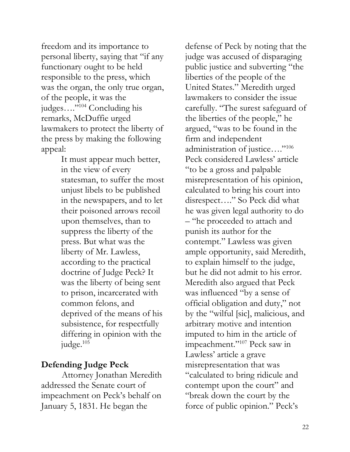freedom and its importance to personal liberty, saying that "if any functionary ought to be held responsible to the press, which was the organ, the only true organ, of the people, it was the judges…."<sup>104</sup> Concluding his remarks, McDuffie urged lawmakers to protect the liberty of the press by making the following appeal:

> It must appear much better, in the view of every statesman, to suffer the most unjust libels to be published in the newspapers, and to let their poisoned arrows recoil upon themselves, than to suppress the liberty of the press. But what was the liberty of Mr. Lawless, according to the practical doctrine of Judge Peck? It was the liberty of being sent to prison, incarcerated with common felons, and deprived of the means of his subsistence, for respectfully differing in opinion with the judge.<sup>105</sup>

### **Defending Judge Peck**

Attorney Jonathan Meredith addressed the Senate court of impeachment on Peck's behalf on January 5, 1831. He began the

defense of Peck by noting that the judge was accused of disparaging public justice and subverting "the liberties of the people of the United States." Meredith urged lawmakers to consider the issue carefully. "The surest safeguard of the liberties of the people," he argued, "was to be found in the firm and independent administration of justice…."<sup>106</sup> Peck considered Lawless' article "to be a gross and palpable misrepresentation of his opinion, calculated to bring his court into disrespect…." So Peck did what he was given legal authority to do – "he proceeded to attach and punish its author for the contempt." Lawless was given ample opportunity, said Meredith, to explain himself to the judge, but he did not admit to his error. Meredith also argued that Peck was influenced "by a sense of official obligation and duty," not by the "wilful [sic], malicious, and arbitrary motive and intention imputed to him in the article of impeachment."<sup>107</sup> Peck saw in Lawless' article a grave misrepresentation that was "calculated to bring ridicule and contempt upon the court" and "break down the court by the force of public opinion." Peck's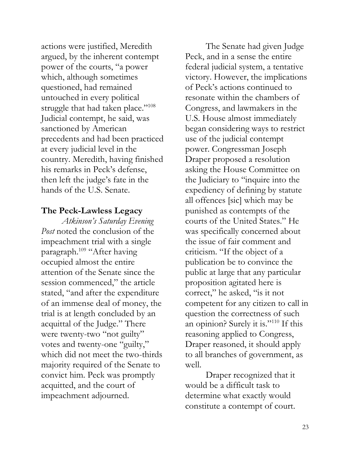actions were justified, Meredith argued, by the inherent contempt power of the courts, "a power which, although sometimes questioned, had remained untouched in every political struggle that had taken place."<sup>108</sup> Judicial contempt, he said, was sanctioned by American precedents and had been practiced at every judicial level in the country. Meredith, having finished his remarks in Peck's defense, then left the judge's fate in the hands of the U.S. Senate.

#### **The Peck-Lawless Legacy**

*Atkinson's Saturday Evening Post* noted the conclusion of the impeachment trial with a single paragraph.<sup>109</sup> "After having occupied almost the entire attention of the Senate since the session commenced," the article stated, "and after the expenditure of an immense deal of money, the trial is at length concluded by an acquittal of the Judge." There were twenty-two "not guilty" votes and twenty-one "guilty," which did not meet the two-thirds majority required of the Senate to convict him. Peck was promptly acquitted, and the court of impeachment adjourned.

The Senate had given Judge Peck, and in a sense the entire federal judicial system, a tentative victory. However, the implications of Peck's actions continued to resonate within the chambers of Congress, and lawmakers in the U.S. House almost immediately began considering ways to restrict use of the judicial contempt power. Congressman Joseph Draper proposed a resolution asking the House Committee on the Judiciary to "inquire into the expediency of defining by statute all offences [sic] which may be punished as contempts of the courts of the United States." He was specifically concerned about the issue of fair comment and criticism. "If the object of a publication be to convince the public at large that any particular proposition agitated here is correct," he asked, "is it not competent for any citizen to call in question the correctness of such an opinion? Surely it is."<sup>110</sup> If this reasoning applied to Congress, Draper reasoned, it should apply to all branches of government, as well.

Draper recognized that it would be a difficult task to determine what exactly would constitute a contempt of court.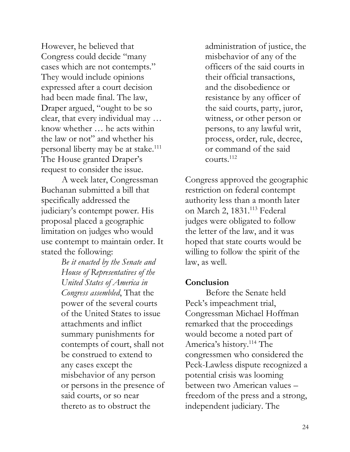However, he believed that Congress could decide "many cases which are not contempts." They would include opinions expressed after a court decision had been made final. The law, Draper argued, "ought to be so clear, that every individual may … know whether … he acts within the law or not" and whether his personal liberty may be at stake.<sup>111</sup> The House granted Draper's request to consider the issue.

A week later, Congressman Buchanan submitted a bill that specifically addressed the judiciary's contempt power. His proposal placed a geographic limitation on judges who would use contempt to maintain order. It stated the following:

> *Be it enacted by the Senate and House of Representatives of the United States of America in Congress assembled*, That the power of the several courts of the United States to issue attachments and inflict summary punishments for contempts of court, shall not be construed to extend to any cases except the misbehavior of any person or persons in the presence of said courts, or so near thereto as to obstruct the

administration of justice, the misbehavior of any of the officers of the said courts in their official transactions, and the disobedience or resistance by any officer of the said courts, party, juror, witness, or other person or persons, to any lawful writ, process, order, rule, decree, or command of the said  $\text{counts}$ .<sup>112</sup>

Congress approved the geographic restriction on federal contempt authority less than a month later on March 2, 1831.<sup>113</sup> Federal judges were obligated to follow the letter of the law, and it was hoped that state courts would be willing to follow the spirit of the law, as well.

#### **Conclusion**

Before the Senate held Peck's impeachment trial, Congressman Michael Hoffman remarked that the proceedings would become a noted part of America's history.<sup>114</sup> The congressmen who considered the Peck-Lawless dispute recognized a potential crisis was looming between two American values – freedom of the press and a strong, independent judiciary. The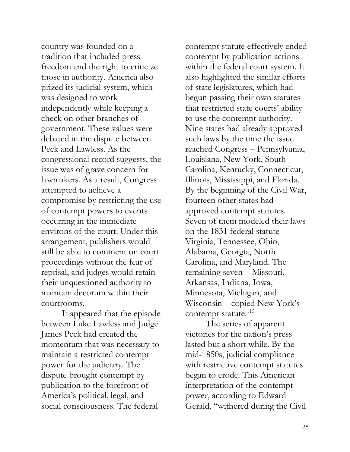country was founded on a tradition that included press freedom and the right to criticize those in authority. America also prized its judicial system, which was designed to work independently while keeping a check on other branches of government. These values were debated in the dispute between Peck and Lawless. As the congressional record suggests, the issue was of grave concern for lawmakers. As a result, Congress attempted to achieve a compromise by restricting the use of contempt powers to events occurring in the immediate environs of the court. Under this arrangement, publishers would still be able to comment on court proceedings without the fear of reprisal, and judges would retain their unquestioned authority to maintain decorum within their courtrooms.

It appeared that the episode between Luke Lawless and Judge James Peck had created the momentum that was necessary to maintain a restricted contempt power for the judiciary. The dispute brought contempt by publication to the forefront of America's political, legal, and social consciousness. The federal

contempt statute effectively ended contempt by publication actions within the federal court system. It also highlighted the similar efforts of state legislatures, which had begun passing their own statutes that restricted state courts' ability to use the contempt authority. Nine states had already approved such laws by the time the issue reached Congress – Pennsylvania, Louisiana, New York, South Carolina, Kentucky, Connecticut, Illinois, Mississippi, and Florida. By the beginning of the Civil War, fourteen other states had approved contempt statutes. Seven of them modeled their laws on the 1831 federal statute – Virginia, Tennessee, Ohio, Alabama, Georgia, North Carolina, and Maryland. The remaining seven – Missouri, Arkansas, Indiana, Iowa, Minnesota, Michigan, and Wisconsin – copied New York's contempt statute.<sup>115</sup>

The series of apparent victories for the nation's press lasted but a short while. By the mid-1850s, judicial compliance with restrictive contempt statutes began to erode. This American interpretation of the contempt power, according to Edward Gerald, "withered during the Civil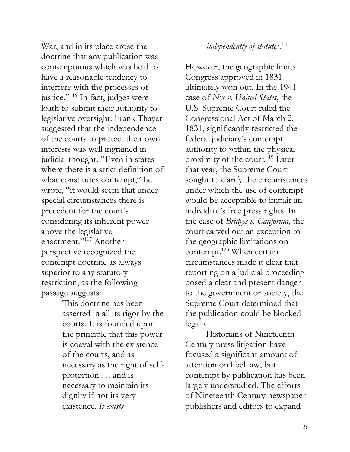War, and in its place arose the doctrine that any publication was contemptuous which was held to have a reasonable tendency to interfere with the processes of justice."<sup>116</sup> In fact, judges were loath to submit their authority to legislative oversight. Frank Thayer suggested that the independence of the courts to protect their own interests was well ingrained in judicial thought. "Even in states where there is a strict definition of what constitutes contempt," he wrote, "it would seem that under special circumstances there is precedent for the court's considering its inherent power above the legislative enactment."<sup>117</sup> Another perspective recognized the contempt doctrine as always superior to any statutory restriction, as the following passage suggests:

> This doctrine has been asserted in all its rigor by the courts. It is founded upon the principle that this power is coeval with the existence of the courts, and as necessary as the right of selfprotection … and is necessary to maintain its dignity if not its very existence. *It exists*

#### *independently of statutes*. 118

However, the geographic limits Congress approved in 1831 ultimately won out. In the 1941 case of *Nye v. United States*, the U.S. Supreme Court ruled the Congressional Act of March 2, 1831, significantly restricted the federal judiciary's contempt authority to within the physical proximity of the court.<sup>119</sup> Later that year, the Supreme Court sought to clarify the circumstances under which the use of contempt would be acceptable to impair an individual's free press rights. In the case of *Bridges v. California*, the court carved out an exception to the geographic limitations on contempt.<sup>120</sup> When certain circumstances made it clear that reporting on a judicial proceeding posed a clear and present danger to the government or society, the Supreme Court determined that the publication could be blocked legally.

Historians of Nineteenth Century press litigation have focused a significant amount of attention on libel law, but contempt by publication has been largely understudied. The efforts of Nineteenth Century newspaper publishers and editors to expand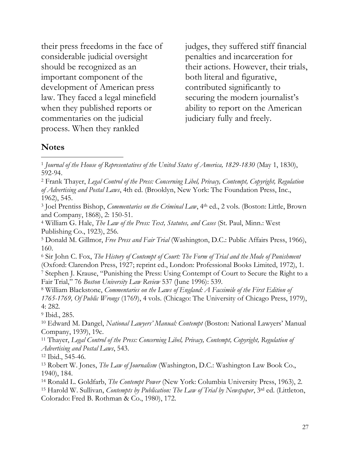their press freedoms in the face of considerable judicial oversight should be recognized as an important component of the development of American press law. They faced a legal minefield when they published reports or commentaries on the judicial process. When they rankled

judges, they suffered stiff financial penalties and incarceration for their actions. However, their trials, both literal and figurative, contributed significantly to securing the modern journalist's ability to report on the American judiciary fully and freely.

#### **Notes**

 $\overline{a}$ 

<sup>2</sup> Frank Thayer, *Legal Control of the Press: Concerning Libel, Privacy, Contempt, Copyright, Regulation of Advertising and Postal Laws*, 4th ed. (Brooklyn, New York: The Foundation Press, Inc., 1962), 545.

<sup>3</sup> Joel Prentiss Bishop, *Commentaries on the Criminal Law*, 4th ed., 2 vols. (Boston: Little, Brown and Company, 1868), 2: 150-51.

<sup>4</sup> William G. Hale, *The Law of the Press: Text, Statutes, and Cases* (St. Paul, Minn.: West Publishing Co., 1923), 256.

<sup>5</sup> Donald M. Gillmor, *Free Press and Fair Trial* (Washington, D.C.: Public Affairs Press, 1966), 160.

<sup>6</sup> Sir John C. Fox, *The History of Contempt of Court: The Form of Trial and the Mode of Punishment* (Oxford: Clarendon Press, 1927; reprint ed., London: Professional Books Limited, 1972), 1.

<sup>7</sup> Stephen J. Krause, "Punishing the Press: Using Contempt of Court to Secure the Right to a Fair Trial," 76 *Boston University Law Review* 537 (June 1996): 539.

<sup>8</sup> William Blackstone, *Commentaries on the Laws of England: A Facsimile of the First Edition of 1765-1769, Of Public Wrongs* (1769), 4 vols. (Chicago: The University of Chicago Press, 1979), 4: 282.

<sup>9</sup> Ibid., 285.

<sup>10</sup> Edward M. Dangel, *National Lawyers' Manual: Contempt* (Boston: National Lawyers' Manual Company, 1939), 19c.

<sup>11</sup> Thayer, *Legal Control of the Press: Concerning Libel, Privacy, Contempt, Copyright, Regulation of Advertising and Postal Laws*, 543.

<sup>12</sup> Ibid., 545-46.

<sup>13</sup> Robert W. Jones, *The Law of Journalism* (Washington, D.C.: Washington Law Book Co., 1940), 184.

<sup>14</sup> Ronald L. Goldfarb, *The Contempt Power* (New York: Columbia University Press, 1963), 2.

<sup>15</sup> Harold W. Sullivan, *Contempts by Publication: The Law of Trial by Newspaper*, 3rd ed. (Littleton, Colorado: Fred B. Rothman & Co., 1980), 172.

<sup>1</sup> *Journal of the House of Representatives of the United States of America, 1829-1830* (May 1, 1830), 592-94.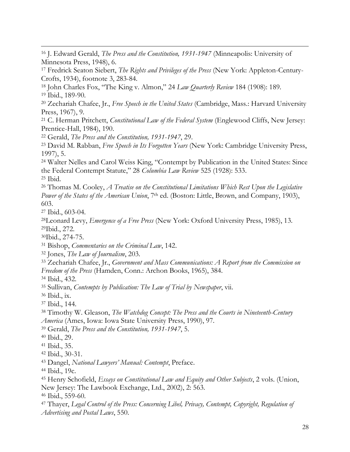J. Edward Gerald, *The Press and the Constitution, 1931-1947* (Minneapolis: University of Minnesota Press, 1948), 6.

 Fredrick Seaton Siebert, *The Rights and Privileges of the Press* (New York: Appleton-Century-Crofts, 1934), footnote 3, 283-84.

 John Charles Fox, "The King v. Almon," 24 *Law Quarterly Review* 184 (1908): 189. Ibid., 189-90.

 Zechariah Chafee, Jr., *Free Speech in the United States* (Cambridge, Mass.: Harvard University Press, 1967), 9.

 C. Herman Pritchett, *Constitutional Law of the Federal System* (Englewood Cliffs, New Jersey: Prentice-Hall, 1984), 190.

Gerald, *The Press and the Constitution, 1931-1947*, 29.

 David M. Rabban, *Free Speech in Its Forgotten Years* (New York: Cambridge University Press, 1997), 5.

 Walter Nelles and Carol Weiss King, "Contempt by Publication in the United States: Since the Federal Contempt Statute," 28 *Columbia Law Review* 525 (1928): 533. Ibid.

 Thomas M. Cooley, *A Treatise on the Constitutional Limitations Which Rest Upon the Legislative Power of the States of the American Union*, 7th ed. (Boston: Little, Brown, and Company, 1903), 603.

Ibid., 603-04.

 $\overline{a}$ 

Leonard Levy, *Emergence of a Free Press* (New York: Oxford University Press, 1985), 13. Ibid., 272.

Ibid., 274-75.

Bishop, *Commentaries on the Criminal Law*, 142.

Jones, *The Law of Journalism*, 203.

 Zechariah Chafee, Jr., *Government and Mass Communications: A Report from the Commission on Freedom of the Press* (Hamden, Conn.: Archon Books, 1965), 384.

Ibid., 432.

Sullivan, *Contempts by Publication: The Law of Trial by Newspaper*, vii.

Ibid., ix.

Ibid., 144.

 Timothy W. Gleason, *The Watchdog Concept: The Press and the Courts in Nineteenth-Century America* (Ames, Iowa: Iowa State University Press, 1990), 97.

Gerald, *The Press and the Constitution, 1931-1947*, 5.

Ibid., 29.

Ibid., 35.

Ibid., 30-31.

Dangel, *National Lawyers' Manual: Contempt*, Preface.

Ibid., 19c.

 Henry Schofield, *Essays on Constitutional Law and Equity and Other Subjects*, 2 vols. (Union, New Jersey: The Lawbook Exchange, Ltd., 2002), 2: 563.

Ibid., 559-60.

 Thayer, *Legal Control of the Press: Concerning Libel, Privacy, Contempt, Copyright, Regulation of Advertising and Postal Laws*, 550.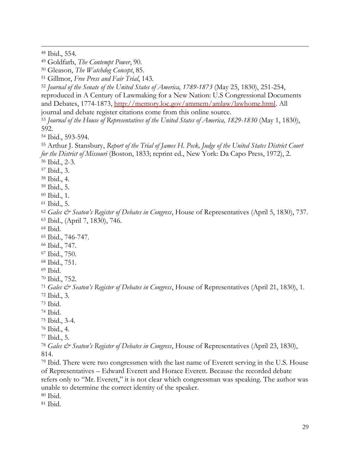Ibid., 554.

 $\overline{a}$ 

Goldfarb, *The Contempt Power*, 90.

Gleason, *The Watchdog Concept*, 85.

Gillmor, *Free Press and Fair Trial*, 143.

*Journal of the Senate of the United States of America, 1789-1873* (May 25, 1830), 251-254,

reproduced in A Century of Lawmaking for a New Nation: U.S Congressional Documents and Debates, 1774-1873, [http://memory.loc.gov/ammem/amlaw/lawhome.html.](http://memory.loc.gov/ammem/amlaw/lawhome.html) All

journal and debate register citations come from this online source.

 *Journal of the House of Representatives of the United States of America, 1829-1830* (May 1, 1830), 592.

Ibid., 593-594.

 Arthur J. Stansbury, *Report of the Trial of James H. Peck, Judge of the United States District Court for the District of Missouri* (Boston, 1833; reprint ed., New York: Da Capo Press, 1972), 2. Ibid., 2-3.

Ibid., 3.

Ibid., 4.

Ibid., 5.

Ibid., 1.

Ibid., 5.

 *Gales & Seaton's Register of Debates in Congress*, House of Representatives (April 5, 1830), 737. Ibid., (April 7, 1830), 746.

Ibid.

Ibid., 746-747.

- Ibid., 747.
- Ibid., 750.

Ibid., 751.

Ibid.

Ibid., 752.

*Gales & Seaton's Register of Debates in Congress*, House of Representatives (April 21, 1830), 1.

Ibid., 3.

Ibid.

Ibid.

Ibid., 3-4.

Ibid., 4.

Ibid., 5.

 *Gales & Seaton's Register of Debates in Congress*, House of Representatives (April 23, 1830), 814.

 Ibid. There were two congressmen with the last name of Everett serving in the U.S. House of Representatives – Edward Everett and Horace Everett. Because the recorded debate refers only to "Mr. Everett," it is not clear which congressman was speaking. The author was unable to determine the correct identity of the speaker.

Ibid.

Ibid.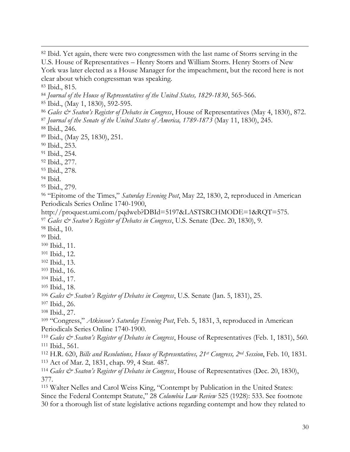Ibid. Yet again, there were two congressmen with the last name of Storrs serving in the U.S. House of Representatives – Henry Storrs and William Storrs. Henry Storrs of New York was later elected as a House Manager for the impeachment, but the record here is not clear about which congressman was speaking. Ibid., 815.

*Journal of the House of Representatives of the United States, 1829-1830*, 565-566.

Ibid., (May 1, 1830), 592-595.

*Gales & Seaton's Register of Debates in Congress*, House of Representatives (May 4, 1830), 872.

*Journal of the Senate of the United States of America, 1789-1873* (May 11, 1830), 245.

Ibid., 246.

 $\overline{a}$ 

Ibid., (May 25, 1830), 251.

Ibid., 253.

Ibid., 254.

Ibid., 277.

Ibid., 278.

Ibid.

Ibid., 279.

 "Epitome of the Times," *Saturday Evening Post*, May 22, 1830, 2, reproduced in American Periodicals Series Online 1740-1900,

http://proquest.umi.com/pqdweb?DBId=5197&LASTSRCHMODE=1&RQT=575. *Gales & Seaton's Register of Debates in Congress*, U.S. Senate (Dec. 20, 1830), 9.

Ibid., 10.

Ibid.

Ibid., 11.

Ibid., 12.

Ibid., 13.

Ibid., 16.

Ibid., 17.

Ibid., 18.

*Gales & Seaton's Register of Debates in Congress*, U.S. Senate (Jan. 5, 1831), 25.

Ibid., 26.

Ibid., 27.

 "Congress," *Atkinson's Saturday Evening Post*, Feb. 5, 1831, 3, reproduced in American Periodicals Series Online 1740-1900.

 *Gales & Seaton's Register of Debates in Congress*, House of Representatives (Feb. 1, 1831), 560. Ibid., 561.

 H.R. 620, *Bills and Resolutions, House of Representatives, 21st Congress, 2nd Session*, Feb. 10, 1831. Act of Mar. 2, 1831, chap. 99, 4 Stat. 487.

 *Gales & Seaton's Register of Debates in Congress*, House of Representatives (Dec. 20, 1830), 377.

 Walter Nelles and Carol Weiss King, "Contempt by Publication in the United States: Since the Federal Contempt Statute," 28 *Columbia Law Review* 525 (1928): 533. See footnote 30 for a thorough list of state legislative actions regarding contempt and how they related to